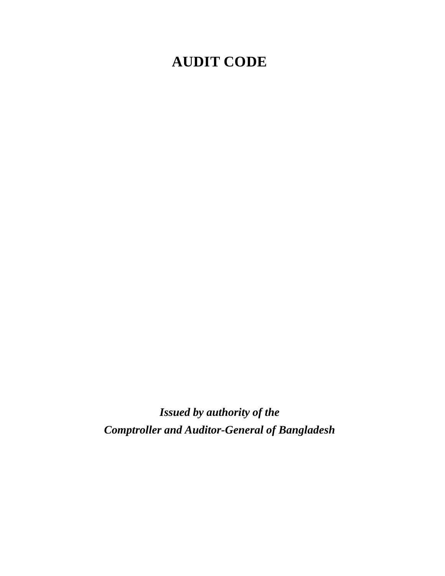# **AUDIT CODE**

*Issued by authority of the Comptroller and Auditor-General of Bangladesh*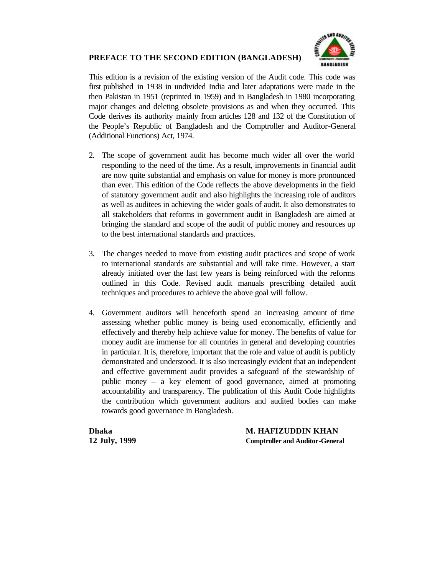## **PREFACE TO THE SECOND EDITION (BANGLADESH)**



This edition is a revision of the existing version of the Audit code. This code was first published in 1938 in undivided India and later adaptations were made in the then Pakistan in 1951 (reprinted in 1959) and in Bangladesh in 1980 incorporating major changes and deleting obsolete provisions as and when they occurred. This Code derives its authority mainly from articles 128 and 132 of the Constitution of the People's Republic of Bangladesh and the Comptroller and Auditor-General (Additional Functions) Act, 1974.

- 2. The scope of government audit has become much wider all over the world responding to the need of the time. As a result, improvements in financial audit are now quite substantial and emphasis on value for money is more pronounced than ever. This edition of the Code reflects the above developments in the field of statutory government audit and also highlights the increasing role of auditors as well as auditees in achieving the wider goals of audit. It also demonstrates to all stakeholders that reforms in government audit in Bangladesh are aimed at bringing the standard and scope of the audit of public money and resources up to the best international standards and practices.
- 3. The changes needed to move from existing audit practices and scope of work to international standards are substantial and will take time. However, a start already initiated over the last few years is being reinforced with the reforms outlined in this Code. Revised audit manuals prescribing detailed audit techniques and procedures to achieve the above goal will follow.
- 4. Government auditors will henceforth spend an increasing amount of time assessing whether public money is being used economically, efficiently and effectively and thereby help achieve value for money. The benefits of value for money audit are immense for all countries in general and developing countries in particular. It is, therefore, important that the role and value of audit is publicly demonstrated and understood. It is also increasingly evident that an independent and effective government audit provides a safeguard of the stewardship of public money – a key element of good governance, aimed at promoting accountability and transparency. The publication of this Audit Code highlights the contribution which government auditors and audited bodies can make towards good governance in Bangladesh.

**Dhaka M. HAFIZUDDIN KHAN 12 July, 1999 Comptroller and Auditor-General**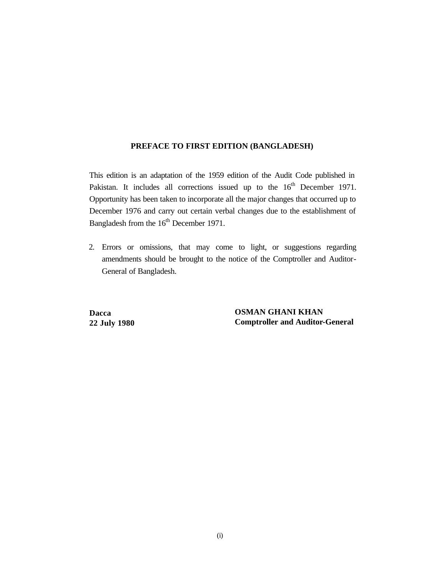#### **PREFACE TO FIRST EDITION (BANGLADESH)**

This edition is an adaptation of the 1959 edition of the Audit Code published in Pakistan. It includes all corrections issued up to the 16<sup>th</sup> December 1971. Opportunity has been taken to incorporate all the major changes that occurred up to December 1976 and carry out certain verbal changes due to the establishment of Bangladesh from the 16<sup>th</sup> December 1971.

2. Errors or omissions, that may come to light, or suggestions regarding amendments should be brought to the notice of the Comptroller and Auditor-General of Bangladesh.

**Dacca 22 July 1980**  **OSMAN GHANI KHAN Comptroller and Auditor-General**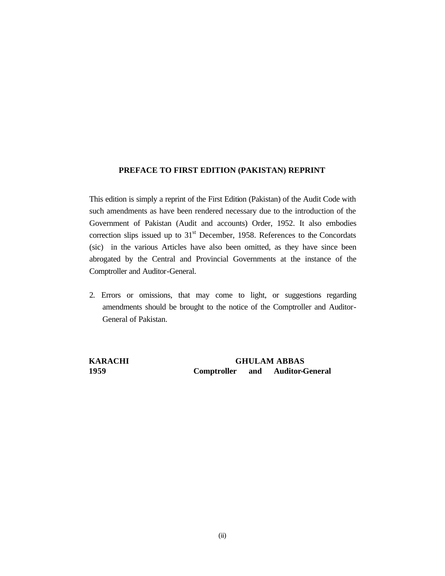#### **PREFACE TO FIRST EDITION (PAKISTAN) REPRINT**

This edition is simply a reprint of the First Edition (Pakistan) of the Audit Code with such amendments as have been rendered necessary due to the introduction of the Government of Pakistan (Audit and accounts) Order, 1952. It also embodies correction slips issued up to  $31<sup>st</sup>$  December, 1958. References to the Concordats (sic) in the various Articles have also been omitted, as they have since been abrogated by the Central and Provincial Governments at the instance of the Comptroller and Auditor-General.

2. Errors or omissions, that may come to light, or suggestions regarding amendments should be brought to the notice of the Comptroller and Auditor-General of Pakistan.

**KARACHI GHULAM ABBAS 1959 Comptroller and Auditor-General**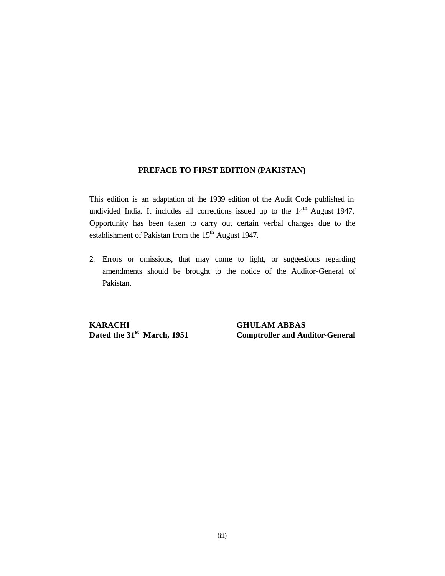#### **PREFACE TO FIRST EDITION (PAKISTAN)**

This edition is an adaptation of the 1939 edition of the Audit Code published in undivided India. It includes all corrections issued up to the  $14<sup>th</sup>$  August 1947. Opportunity has been taken to carry out certain verbal changes due to the establishment of Pakistan from the 15<sup>th</sup> August 1947.

2. Errors or omissions, that may come to light, or suggestions regarding amendments should be brought to the notice of the Auditor-General of Pakistan.

**KARACHI GHULAM ABBAS**<br> **Dated the 31st** March, 1951 **Comptroller and Au** 

**Comptroller and Auditor-General**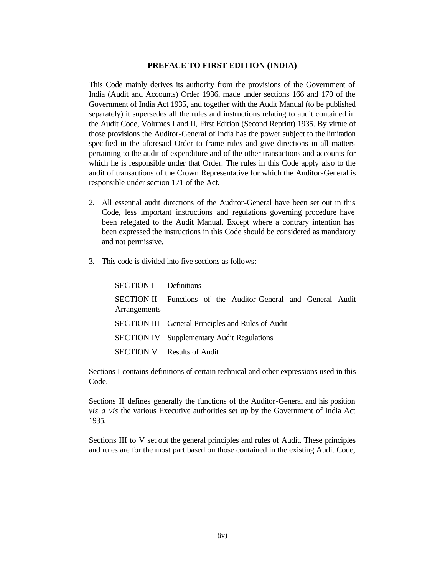#### **PREFACE TO FIRST EDITION (INDIA)**

This Code mainly derives its authority from the provisions of the Government of India (Audit and Accounts) Order 1936, made under sections 166 and 170 of the Government of India Act 1935, and together with the Audit Manual (to be published separately) it supersedes all the rules and instructions relating to audit contained in the Audit Code, Volumes I and II, First Edition (Second Reprint) 1935. By virtue of those provisions the Auditor-General of India has the power subject to the limitation specified in the aforesaid Order to frame rules and give directions in all matters pertaining to the audit of expenditure and of the other transactions and accounts for which he is responsible under that Order. The rules in this Code apply also to the audit of transactions of the Crown Representative for which the Auditor-General is responsible under section 171 of the Act.

- 2. All essential audit directions of the Auditor-General have been set out in this Code, less important instructions and regulations governing procedure have been relegated to the Audit Manual. Except where a contrary intention has been expressed the instructions in this Code should be considered as mandatory and not permissive.
- 3. This code is divided into five sections as follows:

| <b>SECTION I</b> Definitions |                                                               |
|------------------------------|---------------------------------------------------------------|
| Arrangements                 | SECTION II Functions of the Auditor-General and General Audit |
|                              | <b>SECTION III</b> General Principles and Rules of Audit      |
|                              | <b>SECTION IV</b> Supplementary Audit Regulations             |
|                              | <b>SECTION V</b> Results of Audit                             |

Sections I contains definitions of certain technical and other expressions used in this Code.

Sections II defines generally the functions of the Auditor-General and his position *vis a vis* the various Executive authorities set up by the Government of India Act 1935.

Sections III to V set out the general principles and rules of Audit. These principles and rules are for the most part based on those contained in the existing Audit Code,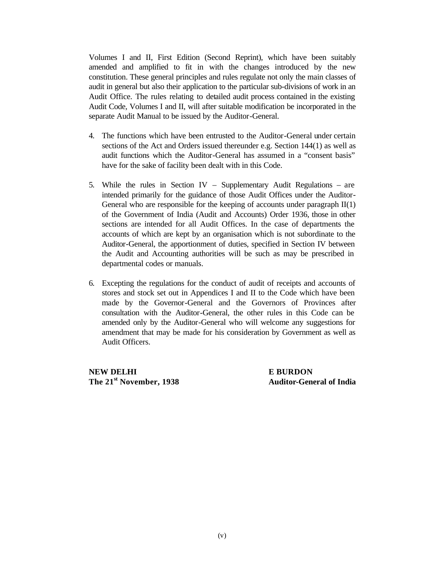Volumes I and II, First Edition (Second Reprint), which have been suitably amended and amplified to fit in with the changes introduced by the new constitution. These general principles and rules regulate not only the main classes of audit in general but also their application to the particular sub-divisions of work in an Audit Office. The rules relating to detailed audit process contained in the existing Audit Code, Volumes I and II, will after suitable modification be incorporated in the separate Audit Manual to be issued by the Auditor-General.

- 4. The functions which have been entrusted to the Auditor-General under certain sections of the Act and Orders issued thereunder e.g. Section 144(1) as well as audit functions which the Auditor-General has assumed in a "consent basis" have for the sake of facility been dealt with in this Code.
- 5. While the rules in Section IV Supplementary Audit Regulations are intended primarily for the guidance of those Audit Offices under the Auditor-General who are responsible for the keeping of accounts under paragraph II(1) of the Government of India (Audit and Accounts) Order 1936, those in other sections are intended for all Audit Offices. In the case of departments the accounts of which are kept by an organisation which is not subordinate to the Auditor-General, the apportionment of duties, specified in Section IV between the Audit and Accounting authorities will be such as may be prescribed in departmental codes or manuals.
- 6. Excepting the regulations for the conduct of audit of receipts and accounts of stores and stock set out in Appendices I and II to the Code which have been made by the Governor-General and the Governors of Provinces after consultation with the Auditor-General, the other rules in this Code can be amended only by the Auditor-General who will welcome any suggestions for amendment that may be made for his consideration by Government as well as Audit Officers.

**NEW DELHI E BURDON The 21st November, 1938 Auditor-General of India**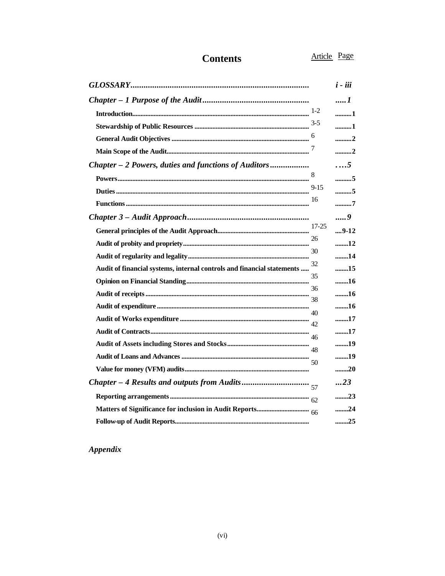## **Contents**

Article Page

|                                                                        |           | $i - iii$  |
|------------------------------------------------------------------------|-----------|------------|
|                                                                        |           | 1          |
|                                                                        |           | 1          |
|                                                                        |           | 1          |
|                                                                        |           | 2          |
|                                                                        |           | 2          |
| Chapter - 2 Powers, duties and functions of Auditors                   |           | $\ldots 5$ |
|                                                                        | 8         | 5          |
|                                                                        |           | 5          |
|                                                                        | 16        | 7          |
|                                                                        |           | 9          |
|                                                                        | $17 - 25$ | $9-12$     |
|                                                                        | 26        | 12         |
|                                                                        | 30        | 14         |
| Audit of financial systems, internal controls and financial statements | 32        | 15         |
|                                                                        | 35        | 16         |
|                                                                        |           | 16         |
|                                                                        |           | 16         |
|                                                                        | 40        | 17         |
|                                                                        |           | 17         |
|                                                                        |           | 19         |
|                                                                        |           | 19         |
|                                                                        | 50        | 20         |
|                                                                        |           | 23         |
|                                                                        |           | 23         |
|                                                                        |           | 24         |
|                                                                        |           | 25         |

Appendix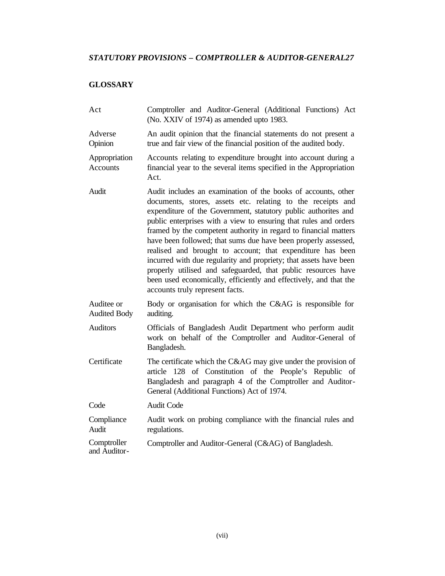## *STATUTORY PROVISIONS – COMPTROLLER & AUDITOR-GENERAL27*

## **GLOSSARY**

| Act                               | Comptroller and Auditor-General (Additional Functions) Act<br>(No. XXIV of 1974) as amended upto 1983.                                                                                                                                                                                                                                                                                                                                                                                                                                                                                                                                                                                                               |
|-----------------------------------|----------------------------------------------------------------------------------------------------------------------------------------------------------------------------------------------------------------------------------------------------------------------------------------------------------------------------------------------------------------------------------------------------------------------------------------------------------------------------------------------------------------------------------------------------------------------------------------------------------------------------------------------------------------------------------------------------------------------|
| Adverse<br>Opinion                | An audit opinion that the financial statements do not present a<br>true and fair view of the financial position of the audited body.                                                                                                                                                                                                                                                                                                                                                                                                                                                                                                                                                                                 |
| Appropriation<br><b>Accounts</b>  | Accounts relating to expenditure brought into account during a<br>financial year to the several items specified in the Appropriation<br>Act.                                                                                                                                                                                                                                                                                                                                                                                                                                                                                                                                                                         |
| Audit                             | Audit includes an examination of the books of accounts, other<br>documents, stores, assets etc. relating to the receipts and<br>expenditure of the Government, statutory public authorites and<br>public enterprises with a view to ensuring that rules and orders<br>framed by the competent authority in regard to financial matters<br>have been followed; that sums due have been properly assessed,<br>realised and brought to account; that expenditure has been<br>incurred with due regularity and propriety; that assets have been<br>properly utilised and safeguarded, that public resources have<br>been used economically, efficiently and effectively, and that the<br>accounts truly represent facts. |
| Auditee or<br><b>Audited Body</b> | Body or organisation for which the C&AG is responsible for<br>auditing.                                                                                                                                                                                                                                                                                                                                                                                                                                                                                                                                                                                                                                              |
| <b>Auditors</b>                   | Officials of Bangladesh Audit Department who perform audit<br>work on behalf of the Comptroller and Auditor-General of<br>Bangladesh.                                                                                                                                                                                                                                                                                                                                                                                                                                                                                                                                                                                |
| Certificate                       | The certificate which the C&AG may give under the provision of<br>article 128 of Constitution of the People's Republic of<br>Bangladesh and paragraph 4 of the Comptroller and Auditor-<br>General (Additional Functions) Act of 1974.                                                                                                                                                                                                                                                                                                                                                                                                                                                                               |
| Code                              | <b>Audit Code</b>                                                                                                                                                                                                                                                                                                                                                                                                                                                                                                                                                                                                                                                                                                    |
| Compliance<br>Audit               | Audit work on probing compliance with the financial rules and<br>regulations.                                                                                                                                                                                                                                                                                                                                                                                                                                                                                                                                                                                                                                        |
| Comptroller<br>and Auditor-       | Comptroller and Auditor-General (C&AG) of Bangladesh.                                                                                                                                                                                                                                                                                                                                                                                                                                                                                                                                                                                                                                                                |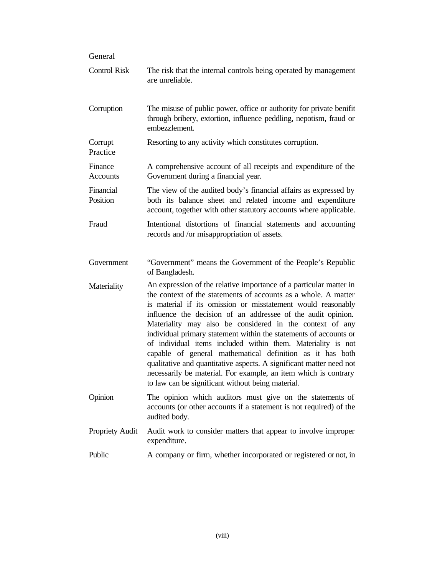| General               |                                                                                                                                                                                                                                                                                                                                                                                                                                                                                                                                    |
|-----------------------|------------------------------------------------------------------------------------------------------------------------------------------------------------------------------------------------------------------------------------------------------------------------------------------------------------------------------------------------------------------------------------------------------------------------------------------------------------------------------------------------------------------------------------|
| <b>Control Risk</b>   | The risk that the internal controls being operated by management<br>are unreliable.                                                                                                                                                                                                                                                                                                                                                                                                                                                |
| Corruption            | The misuse of public power, office or authority for private benifit<br>through bribery, extortion, influence peddling, nepotism, fraud or<br>embezzlement.                                                                                                                                                                                                                                                                                                                                                                         |
| Corrupt<br>Practice   | Resorting to any activity which constitutes corruption.                                                                                                                                                                                                                                                                                                                                                                                                                                                                            |
| Finance<br>Accounts   | A comprehensive account of all receipts and expenditure of the<br>Government during a financial year.                                                                                                                                                                                                                                                                                                                                                                                                                              |
| Financial<br>Position | The view of the audited body's financial affairs as expressed by<br>both its balance sheet and related income and expenditure<br>account, together with other statutory accounts where applicable.                                                                                                                                                                                                                                                                                                                                 |
| Fraud                 | Intentional distortions of financial statements and accounting<br>records and /or misappropriation of assets.                                                                                                                                                                                                                                                                                                                                                                                                                      |
| Government            | "Government" means the Government of the People's Republic<br>of Bangladesh.                                                                                                                                                                                                                                                                                                                                                                                                                                                       |
| Materiality           | An expression of the relative importance of a particular matter in<br>the context of the statements of accounts as a whole. A matter<br>is material if its omission or misstatement would reasonably<br>influence the decision of an addressee of the audit opinion.<br>Materiality may also be considered in the context of any<br>individual primary statement within the statements of accounts or<br>of individual items included within them. Materiality is not<br>capable of general mathematical definition as it has both |

Public A company or firm, whether incorporated or registered or not, in

Propriety Audit Audit work to consider matters that appear to involve improper

to law can be significant without being material. Opinion The opinion which auditors must give on the statements of

audited body.

expenditure.

qualitative and quantitative aspects. A significant matter need not necessarily be material. For example, an item which is contrary

accounts (or other accounts if a statement is not required) of the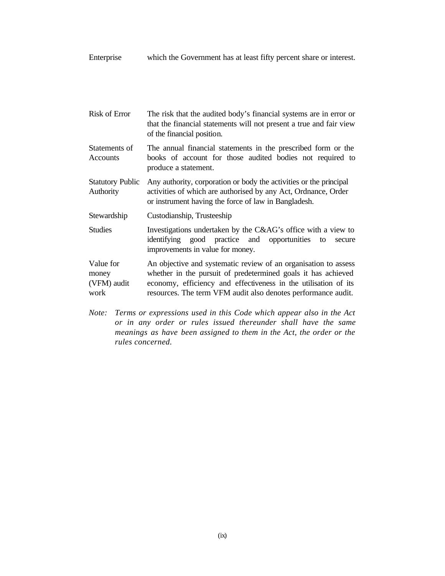Enterprise which the Government has at least fifty percent share or interest.

- Risk of Error The risk that the audited body's financial systems are in error or that the financial statements will not present a true and fair view of the financial position.
- Statements of Accounts The annual financial statements in the prescribed form or the books of account for those audited bodies not required to produce a statement.
- Statutory Public Authority Any authority, corporation or body the activities or the principal activities of which are authorised by any Act, Ordnance, Order or instrument having the force of law in Bangladesh.
- Stewardship Custodianship, Trusteeship
- Studies Investigations undertaken by the C&AG's office with a view to identifying good practice and opportunities to secure improvements in value for money.

Value for money (VFM) audit work An objective and systematic review of an organisation to assess whether in the pursuit of predetermined goals it has achieved economy, efficiency and effectiveness in the utilisation of its resources. The term VFM audit also denotes performance audit.

*Note: Terms or expressions used in this Code which appear also in the Act or in any order or rules issued thereunder shall have the same meanings as have been assigned to them in the Act, the order or the rules concerned.*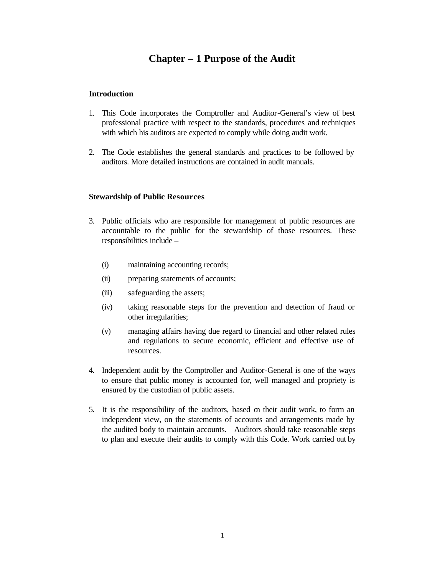## **Chapter – 1 Purpose of the Audit**

#### **Introduction**

- 1. This Code incorporates the Comptroller and Auditor-General's view of best professional practice with respect to the standards, procedures and techniques with which his auditors are expected to comply while doing audit work.
- 2. The Code establishes the general standards and practices to be followed by auditors. More detailed instructions are contained in audit manuals.

#### **Stewardship of Public Resources**

- 3. Public officials who are responsible for management of public resources are accountable to the public for the stewardship of those resources. These responsibilities include –
	- (i) maintaining accounting records;
	- (ii) preparing statements of accounts;
	- (iii) safeguarding the assets;
	- (iv) taking reasonable steps for the prevention and detection of fraud or other irregularities;
	- (v) managing affairs having due regard to financial and other related rules and regulations to secure economic, efficient and effective use of resources.
- 4. Independent audit by the Comptroller and Auditor-General is one of the ways to ensure that public money is accounted for, well managed and propriety is ensured by the custodian of public assets.
- 5. It is the responsibility of the auditors, based on their audit work, to form an independent view, on the statements of accounts and arrangements made by the audited body to maintain accounts. Auditors should take reasonable steps to plan and execute their audits to comply with this Code. Work carried out by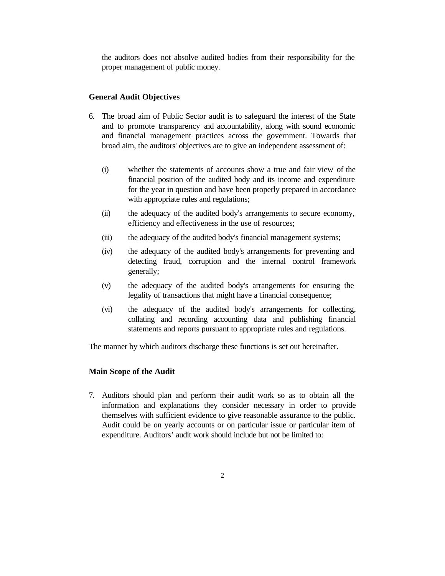the auditors does not absolve audited bodies from their responsibility for the proper management of public money.

#### **General Audit Objectives**

- 6. The broad aim of Public Sector audit is to safeguard the interest of the State and to promote transparency and accountability, along with sound economic and financial management practices across the government. Towards that broad aim, the auditors' objectives are to give an independent assessment of:
	- (i) whether the statements of accounts show a true and fair view of the financial position of the audited body and its income and expenditure for the year in question and have been properly prepared in accordance with appropriate rules and regulations;
	- (ii) the adequacy of the audited body's arrangements to secure economy, efficiency and effectiveness in the use of resources;
	- (iii) the adequacy of the audited body's financial management systems;
	- (iv) the adequacy of the audited body's arrangements for preventing and detecting fraud, corruption and the internal control framework generally;
	- (v) the adequacy of the audited body's arrangements for ensuring the legality of transactions that might have a financial consequence;
	- (vi) the adequacy of the audited body's arrangements for collecting, collating and recording accounting data and publishing financial statements and reports pursuant to appropriate rules and regulations.

The manner by which auditors discharge these functions is set out hereinafter.

#### **Main Scope of the Audit**

7. Auditors should plan and perform their audit work so as to obtain all the information and explanations they consider necessary in order to provide themselves with sufficient evidence to give reasonable assurance to the public. Audit could be on yearly accounts or on particular issue or particular item of expenditure. Auditors' audit work should include but not be limited to: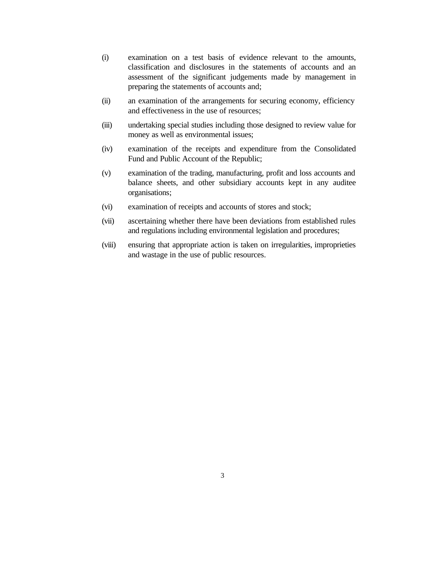- (i) examination on a test basis of evidence relevant to the amounts, classification and disclosures in the statements of accounts and an assessment of the significant judgements made by management in preparing the statements of accounts and;
- (ii) an examination of the arrangements for securing economy, efficiency and effectiveness in the use of resources;
- (iii) undertaking special studies including those designed to review value for money as well as environmental issues;
- (iv) examination of the receipts and expenditure from the Consolidated Fund and Public Account of the Republic;
- (v) examination of the trading, manufacturing, profit and loss accounts and balance sheets, and other subsidiary accounts kept in any auditee organisations;
- (vi) examination of receipts and accounts of stores and stock;
- (vii) ascertaining whether there have been deviations from established rules and regulations including environmental legislation and procedures;
- (viii) ensuring that appropriate action is taken on irregularities, improprieties and wastage in the use of public resources.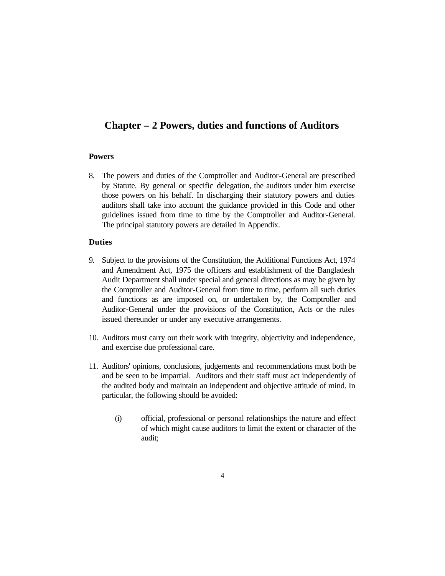## **Chapter – 2 Powers, duties and functions of Auditors**

#### **Powers**

8. The powers and duties of the Comptroller and Auditor-General are prescribed by Statute. By general or specific delegation, the auditors under him exercise those powers on his behalf. In discharging their statutory powers and duties auditors shall take into account the guidance provided in this Code and other guidelines issued from time to time by the Comptroller and Auditor-General. The principal statutory powers are detailed in Appendix.

#### **Duties**

- 9. Subject to the provisions of the Constitution, the Additional Functions Act, 1974 and Amendment Act, 1975 the officers and establishment of the Bangladesh Audit Department shall under special and general directions as may be given by the Comptroller and Auditor-General from time to time, perform all such duties and functions as are imposed on, or undertaken by, the Comptroller and Auditor-General under the provisions of the Constitution, Acts or the rules issued thereunder or under any executive arrangements.
- 10. Auditors must carry out their work with integrity, objectivity and independence, and exercise due professional care.
- 11. Auditors' opinions, conclusions, judgements and recommendations must both be and be seen to be impartial. Auditors and their staff must act independently of the audited body and maintain an independent and objective attitude of mind. In particular, the following should be avoided:
	- (i) official, professional or personal relationships the nature and effect of which might cause auditors to limit the extent or character of the audit;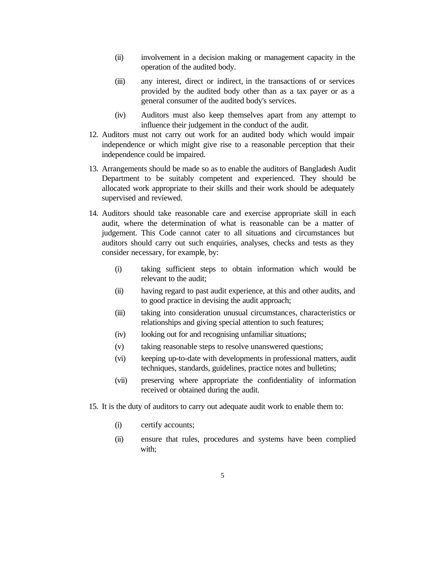- (ii) involvement in a decision making or management capacity in the operation of the audited body.
- (iii) any interest, direct or indirect, in the transactions of or services provided by the audited body other than as a tax payer or as a general consumer of the audited body's services.
- (iv) Auditors must also keep themselves apart from any attempt to influence their judgement in the conduct of the audit.
- 12. Auditors must not carry out work for an audited body which would impair independence or which might give rise to a reasonable perception that their independence could be impaired.
- 13. Arrangements should be made so as to enable the auditors of Bangladesh Audit Department to be suitably competent and experienced. They should be allocated work appropriate to their skills and their work should be adequately supervised and reviewed.
- 14. Auditors should take reasonable care and exercise appropriate skill in each audit, where the determination of what is reasonable can be a matter of judgement. This Code cannot cater to all situations and circumstances but auditors should carry out such enquiries, analyses, checks and tests as they consider necessary, for example, by:
	- (i) taking sufficient steps to obtain information which would be relevant to the audit;
	- (ii) having regard to past audit experience, at this and other audits, and to good practice in devising the audit approach;
	- (iii) taking into consideration unusual circumstances, characteristics or relationships and giving special attention to such features;
	- (iv) looking out for and recognising unfamiliar situations;
	- (v) taking reasonable steps to resolve unanswered questions;
	- (vi) keeping up-to-date with developments in professional matters, audit techniques, standards, guidelines, practice notes and bulletins;
	- (vii) preserving where appropriate the confidentiality of information received or obtained during the audit.
- 15. It is the duty of auditors to carry out adequate audit work to enable them to:
	- (i) certify accounts;
	- (ii) ensure that rules, procedures and systems have been complied with;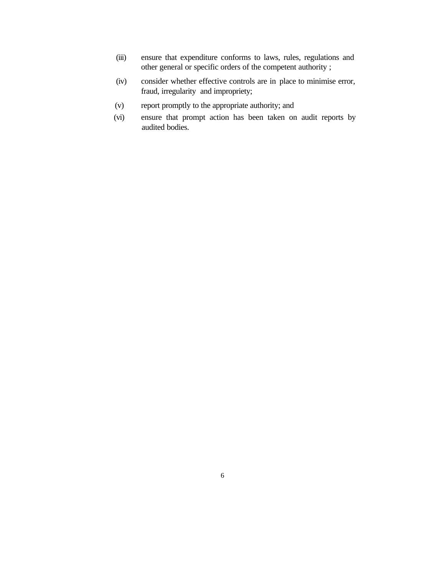- (iii) ensure that expenditure conforms to laws, rules, regulations and other general or specific orders of the competent authority ;
- (iv) consider whether effective controls are in place to minimise error, fraud, irregularity and impropriety;
- (v) report promptly to the appropriate authority; and
- (vi) ensure that prompt action has been taken on audit reports by audited bodies.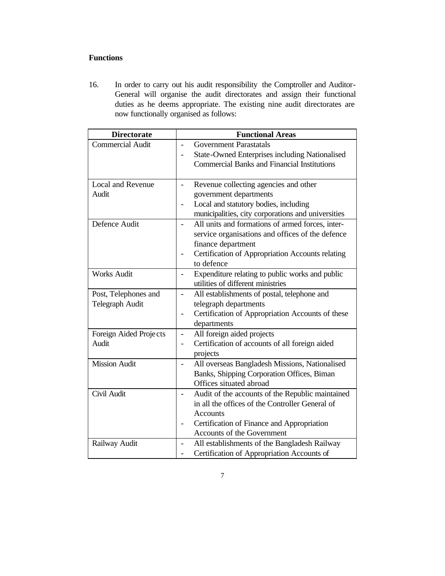## **Functions**

16. In order to carry out his audit responsibility the Comptroller and Auditor-General will organise the audit directorates and assign their functional duties as he deems appropriate. The existing nine audit directorates are now functionally organised as follows:

| <b>Directorate</b>      | <b>Functional Areas</b>                                                      |
|-------------------------|------------------------------------------------------------------------------|
| <b>Commercial Audit</b> | <b>Government Parastatals</b>                                                |
|                         | State-Owned Enterprises including Nationalised                               |
|                         | <b>Commercial Banks and Financial Institutions</b>                           |
|                         |                                                                              |
| Local and Revenue       | Revenue collecting agencies and other<br>$\overline{a}$                      |
| Audit                   | government departments                                                       |
|                         | Local and statutory bodies, including                                        |
|                         | municipalities, city corporations and universities                           |
| Defence Audit           | All units and formations of armed forces, inter-                             |
|                         | service organisations and offices of the defence                             |
|                         | finance department                                                           |
|                         | Certification of Appropriation Accounts relating                             |
|                         | to defence                                                                   |
| <b>Works Audit</b>      | Expenditure relating to public works and public                              |
|                         | utilities of different ministries                                            |
| Post, Telephones and    | All establishments of postal, telephone and<br>$\overline{a}$                |
| Telegraph Audit         | telegraph departments                                                        |
|                         | Certification of Appropriation Accounts of these<br>$\overline{\phantom{0}}$ |
|                         | departments                                                                  |
| Foreign Aided Projects  | All foreign aided projects<br>$\overline{a}$                                 |
| Audit                   | Certification of accounts of all foreign aided                               |
|                         | projects                                                                     |
| <b>Mission Audit</b>    | All overseas Bangladesh Missions, Nationalised                               |
|                         | Banks, Shipping Corporation Offices, Biman                                   |
|                         | Offices situated abroad                                                      |
| Civil Audit             | Audit of the accounts of the Republic maintained                             |
|                         | in all the offices of the Controller General of                              |
|                         | <b>Accounts</b>                                                              |
|                         | Certification of Finance and Appropriation                                   |
|                         | Accounts of the Government                                                   |
| Railway Audit           | All establishments of the Bangladesh Railway                                 |
|                         | Certification of Appropriation Accounts of                                   |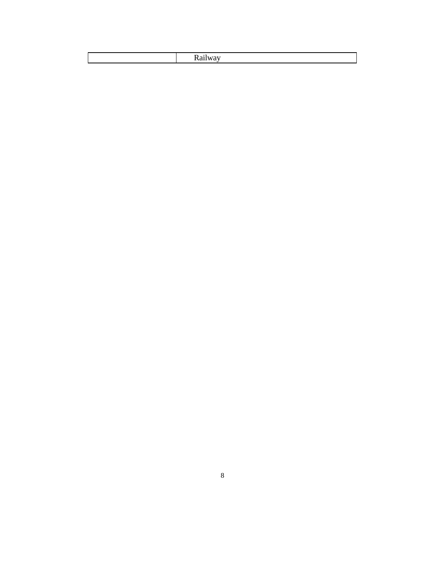|--|--|--|--|--|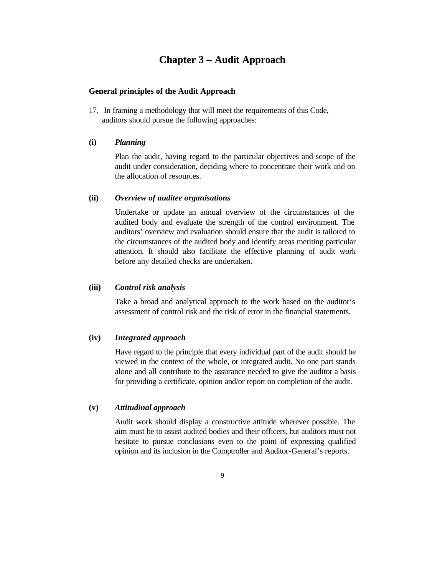## **Chapter 3 – Audit Approach**

#### **General principles of the Audit Approach**

17. In framing a methodology that will meet the requirements of this Code, auditors should pursue the following approaches:

#### **(i)** *Planning*

Plan the audit, having regard to the particular objectives and scope of the audit under consideration, deciding where to concentrate their work and on the allocation of resources.

#### **(ii)** *Overview of auditee organisations*

Undertake or update an annual overview of the circumstances of the audited body and evaluate the strength of the control environment. The auditors' overview and evaluation should ensure that the audit is tailored to the circumstances of the audited body and identify areas meriting particular attention. It should also facilitate the effective planning of audit work before any detailed checks are undertaken.

#### **(iii)** *Control risk analysis*

Take a broad and analytical approach to the work based on the auditor's assessment of control risk and the risk of error in the financial statements.

#### **(iv)** *Integrated approach*

Have regard to the principle that every individual part of the audit should be viewed in the context of the whole, or integrated audit. No one part stands alone and all contribute to the assurance needed to give the auditor a basis for providing a certificate, opinion and/or report on completion of the audit.

#### **(v)** *Attitudinal approach*

Audit work should display a constructive attitude wherever possible. The aim must be to assist audited bodies and their officers, but auditors must not hesitate to pursue conclusions even to the point of expressing qualified opinion and its inclusion in the Comptroller and Auditor-General's reports.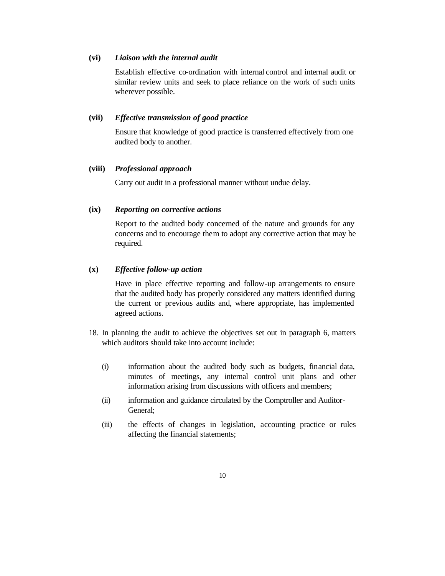#### **(vi)** *Liaison with the internal audit*

Establish effective co-ordination with internal control and internal audit or similar review units and seek to place reliance on the work of such units wherever possible.

#### **(vii)** *Effective transmission of good practice*

Ensure that knowledge of good practice is transferred effectively from one audited body to another.

#### **(viii)** *Professional approach*

Carry out audit in a professional manner without undue delay.

#### **(ix)** *Reporting on corrective actions*

Report to the audited body concerned of the nature and grounds for any concerns and to encourage them to adopt any corrective action that may be required.

#### **(x)** *Effective follow-up action*

Have in place effective reporting and follow-up arrangements to ensure that the audited body has properly considered any matters identified during the current or previous audits and, where appropriate, has implemented agreed actions.

- 18. In planning the audit to achieve the objectives set out in paragraph 6, matters which auditors should take into account include:
	- (i) information about the audited body such as budgets, financial data, minutes of meetings, any internal control unit plans and other information arising from discussions with officers and members;
	- (ii) information and guidance circulated by the Comptroller and Auditor-General;
	- (iii) the effects of changes in legislation, accounting practice or rules affecting the financial statements;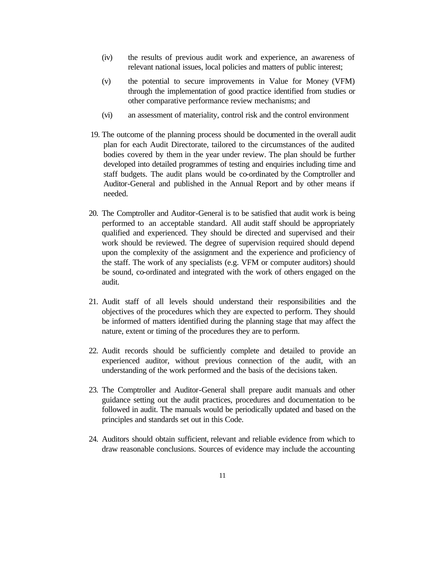- (iv) the results of previous audit work and experience, an awareness of relevant national issues, local policies and matters of public interest;
- (v) the potential to secure improvements in Value for Money (VFM) through the implementation of good practice identified from studies or other comparative performance review mechanisms; and
- (vi) an assessment of materiality, control risk and the control environment
- 19. The outcome of the planning process should be documented in the overall audit plan for each Audit Directorate, tailored to the circumstances of the audited bodies covered by them in the year under review. The plan should be further developed into detailed programmes of testing and enquiries including time and staff budgets. The audit plans would be co-ordinated by the Comptroller and Auditor-General and published in the Annual Report and by other means if needed.
- 20. The Comptroller and Auditor-General is to be satisfied that audit work is being performed to an acceptable standard. All audit staff should be appropriately qualified and experienced. They should be directed and supervised and their work should be reviewed. The degree of supervision required should depend upon the complexity of the assignment and the experience and proficiency of the staff. The work of any specialists (e.g. VFM or computer auditors) should be sound, co-ordinated and integrated with the work of others engaged on the audit.
- 21. Audit staff of all levels should understand their responsibilities and the objectives of the procedures which they are expected to perform. They should be informed of matters identified during the planning stage that may affect the nature, extent or timing of the procedures they are to perform.
- 22. Audit records should be sufficiently complete and detailed to provide an experienced auditor, without previous connection of the audit, with an understanding of the work performed and the basis of the decisions taken.
- 23. The Comptroller and Auditor-General shall prepare audit manuals and other guidance setting out the audit practices, procedures and documentation to be followed in audit. The manuals would be periodically updated and based on the principles and standards set out in this Code.
- 24. Auditors should obtain sufficient, relevant and reliable evidence from which to draw reasonable conclusions. Sources of evidence may include the accounting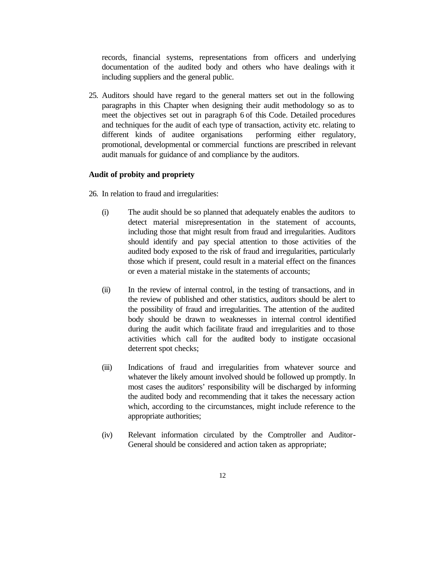records, financial systems, representations from officers and underlying documentation of the audited body and others who have dealings with it including suppliers and the general public.

25. Auditors should have regard to the general matters set out in the following paragraphs in this Chapter when designing their audit methodology so as to meet the objectives set out in paragraph 6 of this Code. Detailed procedures and techniques for the audit of each type of transaction, activity etc. relating to different kinds of auditee organisations performing either regulatory, promotional, developmental or commercial functions are prescribed in relevant audit manuals for guidance of and compliance by the auditors.

#### **Audit of probity and propriety**

26. In relation to fraud and irregularities:

- (i) The audit should be so planned that adequately enables the auditors to detect material misrepresentation in the statement of accounts, including those that might result from fraud and irregularities. Auditors should identify and pay special attention to those activities of the audited body exposed to the risk of fraud and irregularities, particularly those which if present, could result in a material effect on the finances or even a material mistake in the statements of accounts;
- (ii) In the review of internal control, in the testing of transactions, and in the review of published and other statistics, auditors should be alert to the possibility of fraud and irregularities. The attention of the audited body should be drawn to weaknesses in internal control identified during the audit which facilitate fraud and irregularities and to those activities which call for the audited body to instigate occasional deterrent spot checks;
- (iii) Indications of fraud and irregularities from whatever source and whatever the likely amount involved should be followed up promptly. In most cases the auditors' responsibility will be discharged by informing the audited body and recommending that it takes the necessary action which, according to the circumstances, might include reference to the appropriate authorities;
- (iv) Relevant information circulated by the Comptroller and Auditor-General should be considered and action taken as appropriate;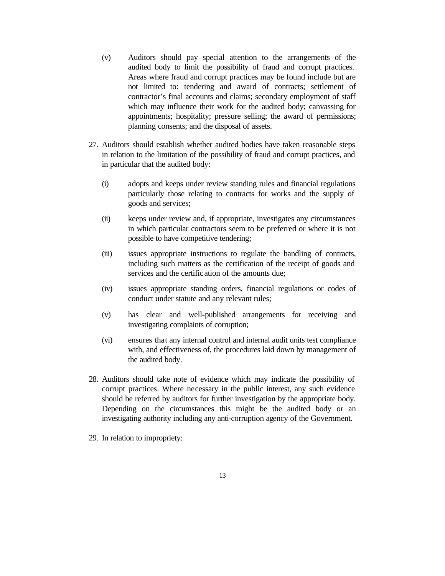- (v) Auditors should pay special attention to the arrangements of the audited body to limit the possibility of fraud and corrupt practices. Areas where fraud and corrupt practices may be found include but are not limited to: tendering and award of contracts; settlement of contractor's final accounts and claims; secondary employment of staff which may influence their work for the audited body; canvassing for appointments; hospitality; pressure selling; the award of permissions; planning consents; and the disposal of assets.
- 27. Auditors should establish whether audited bodies have taken reasonable steps in relation to the limitation of the possibility of fraud and corrupt practices, and in particular that the audited body:
	- (i) adopts and keeps under review standing rules and financial regulations particularly those relating to contracts for works and the supply of goods and services;
	- (ii) keeps under review and, if appropriate, investigates any circumstances in which particular contractors seem to be preferred or where it is not possible to have competitive tendering;
	- (iii) issues appropriate instructions to regulate the handling of contracts, including such matters as the certification of the receipt of goods and services and the certific ation of the amounts due;
	- (iv) issues appropriate standing orders, financial regulations or codes of conduct under statute and any relevant rules;
	- (v) has clear and well-published arrangements for receiving and investigating complaints of corruption;
	- (vi) ensures that any internal control and internal audit units test compliance with, and effectiveness of, the procedures laid down by management of the audited body.
- 28. Auditors should take note of evidence which may indicate the possibility of corrupt practices. Where necessary in the public interest, any such evidence should be referred by auditors for further investigation by the appropriate body. Depending on the circumstances this might be the audited body or an investigating authority including any anti-corruption agency of the Government.
- 29. In relation to impropriety: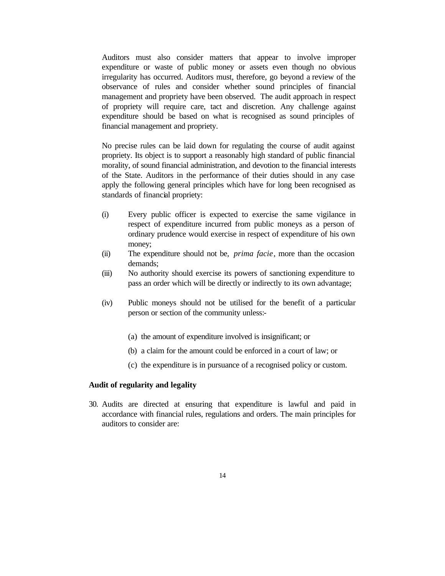Auditors must also consider matters that appear to involve improper expenditure or waste of public money or assets even though no obvious irregularity has occurred. Auditors must, therefore, go beyond a review of the observance of rules and consider whether sound principles of financial management and propriety have been observed. The audit approach in respect of propriety will require care, tact and discretion. Any challenge against expenditure should be based on what is recognised as sound principles of financial management and propriety.

No precise rules can be laid down for regulating the course of audit against propriety. Its object is to support a reasonably high standard of public financial morality, of sound financial administration, and devotion to the financial interests of the State. Auditors in the performance of their duties should in any case apply the following general principles which have for long been recognised as standards of financial propriety:

- (i) Every public officer is expected to exercise the same vigilance in respect of expenditure incurred from public moneys as a person of ordinary prudence would exercise in respect of expenditure of his own money;
- (ii) The expenditure should not be, *prima facie*, more than the occasion demands;
- (iii) No authority should exercise its powers of sanctioning expenditure to pass an order which will be directly or indirectly to its own advantage;
- (iv) Public moneys should not be utilised for the benefit of a particular person or section of the community unless:-
	- (a) the amount of expenditure involved is insignificant; or
	- (b) a claim for the amount could be enforced in a court of law; or
	- (c) the expenditure is in pursuance of a recognised policy or custom.

#### **Audit of regularity and legality**

30. Audits are directed at ensuring that expenditure is lawful and paid in accordance with financial rules, regulations and orders. The main principles for auditors to consider are: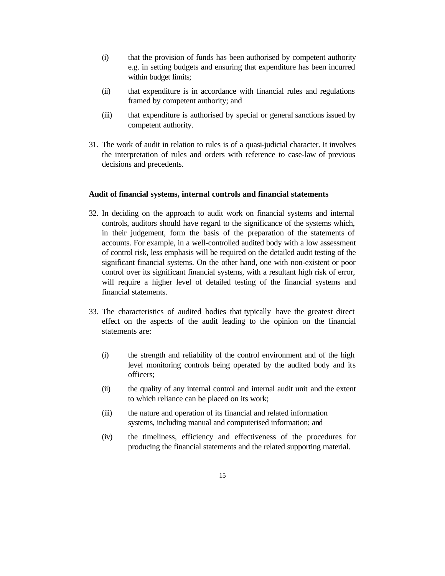- (i) that the provision of funds has been authorised by competent authority e.g. in setting budgets and ensuring that expenditure has been incurred within budget limits;
- (ii) that expenditure is in accordance with financial rules and regulations framed by competent authority; and
- (iii) that expenditure is authorised by special or general sanctions issued by competent authority.
- 31. The work of audit in relation to rules is of a quasi-judicial character. It involves the interpretation of rules and orders with reference to case-law of previous decisions and precedents.

#### **Audit of financial systems, internal controls and financial statements**

- 32. In deciding on the approach to audit work on financial systems and internal controls, auditors should have regard to the significance of the systems which, in their judgement, form the basis of the preparation of the statements of accounts. For example, in a well-controlled audited body with a low assessment of control risk, less emphasis will be required on the detailed audit testing of the significant financial systems. On the other hand, one with non-existent or poor control over its significant financial systems, with a resultant high risk of error, will require a higher level of detailed testing of the financial systems and financial statements.
- 33. The characteristics of audited bodies that typically have the greatest direct effect on the aspects of the audit leading to the opinion on the financial statements are:
	- (i) the strength and reliability of the control environment and of the high level monitoring controls being operated by the audited body and its officers;
	- (ii) the quality of any internal control and internal audit unit and the extent to which reliance can be placed on its work;
	- (iii) the nature and operation of its financial and related information systems, including manual and computerised information; and
	- (iv) the timeliness, efficiency and effectiveness of the procedures for producing the financial statements and the related supporting material.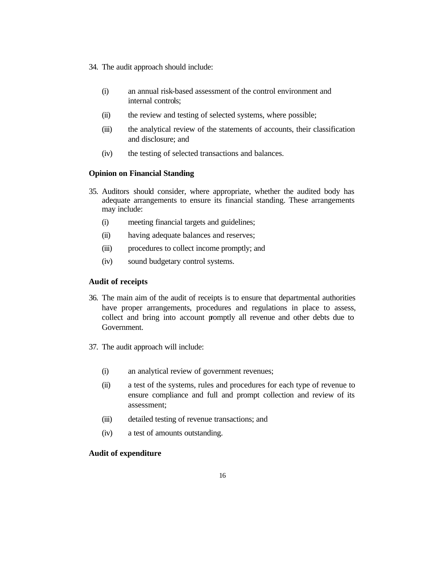- 34. The audit approach should include:
	- (i) an annual risk-based assessment of the control environment and internal controls;
	- (ii) the review and testing of selected systems, where possible;
	- (iii) the analytical review of the statements of accounts, their classification and disclosure; and
	- (iv) the testing of selected transactions and balances.

#### **Opinion on Financial Standing**

- 35. Auditors should consider, where appropriate, whether the audited body has adequate arrangements to ensure its financial standing. These arrangements may include:
	- (i) meeting financial targets and guidelines;
	- (ii) having adequate balances and reserves;
	- (iii) procedures to collect income promptly; and
	- (iv) sound budgetary control systems.

#### **Audit of receipts**

- 36. The main aim of the audit of receipts is to ensure that departmental authorities have proper arrangements, procedures and regulations in place to assess, collect and bring into account promptly all revenue and other debts due to Government.
- 37. The audit approach will include:
	- (i) an analytical review of government revenues;
	- (ii) a test of the systems, rules and procedures for each type of revenue to ensure compliance and full and prompt collection and review of its assessment;
	- (iii) detailed testing of revenue transactions; and
	- (iv) a test of amounts outstanding.

#### **Audit of expenditure**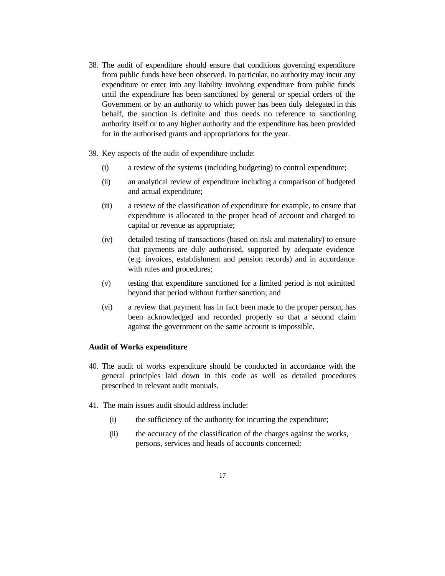- 38. The audit of expenditure should ensure that conditions governing expenditure from public funds have been observed. In particular, no authority may incur any expenditure or enter into any liability involving expenditure from public funds until the expenditure has been sanctioned by general or special orders of the Government or by an authority to which power has been duly delegated in this behalf, the sanction is definite and thus needs no reference to sanctioning authority itself or to any higher authority and the expenditure has been provided for in the authorised grants and appropriations for the year.
- 39. Key aspects of the audit of expenditure include:
	- (i) a review of the systems (including budgeting) to control expenditure;
	- (ii) an analytical review of expenditure including a comparison of budgeted and actual expenditure;
	- (iii) a review of the classification of expenditure for example, to ensure that expenditure is allocated to the proper head of account and charged to capital or revenue as appropriate;
	- (iv) detailed testing of transactions (based on risk and materiality) to ensure that payments are duly authorised, supported by adequate evidence (e.g. invoices, establishment and pension records) and in accordance with rules and procedures;
	- (v) testing that expenditure sanctioned for a limited period is not admitted beyond that period without further sanction; and
	- (vi) a review that payment has in fact been made to the proper person, has been acknowledged and recorded properly so that a second claim against the government on the same account is impossible.

#### **Audit of Works expenditure**

- 40. The audit of works expenditure should be conducted in accordance with the general principles laid down in this code as well as detailed procedures prescribed in relevant audit manuals.
- 41. The main issues audit should address include:
	- (i) the sufficiency of the authority for incurring the expenditure;
	- (ii) the accuracy of the classification of the charges against the works, persons, services and heads of accounts concerned;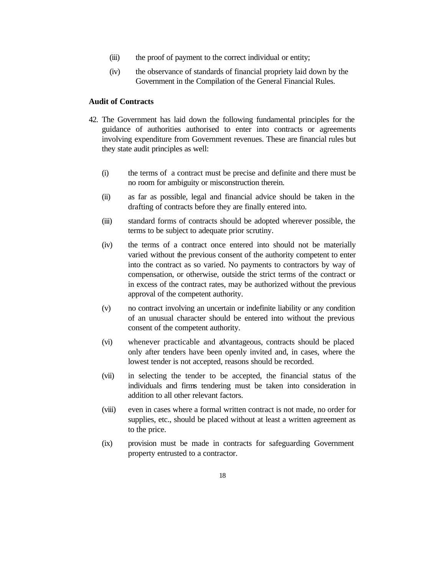- (iii) the proof of payment to the correct individual or entity;
- (iv) the observance of standards of financial propriety laid down by the Government in the Compilation of the General Financial Rules.

#### **Audit of Contracts**

- 42. The Government has laid down the following fundamental principles for the guidance of authorities authorised to enter into contracts or agreements involving expenditure from Government revenues. These are financial rules but they state audit principles as well:
	- (i) the terms of a contract must be precise and definite and there must be no room for ambiguity or misconstruction therein.
	- (ii) as far as possible, legal and financial advice should be taken in the drafting of contracts before they are finally entered into.
	- (iii) standard forms of contracts should be adopted wherever possible, the terms to be subject to adequate prior scrutiny.
	- (iv) the terms of a contract once entered into should not be materially varied without the previous consent of the authority competent to enter into the contract as so varied. No payments to contractors by way of compensation, or otherwise, outside the strict terms of the contract or in excess of the contract rates, may be authorized without the previous approval of the competent authority.
	- (v) no contract involving an uncertain or indefinite liability or any condition of an unusual character should be entered into without the previous consent of the competent authority.
	- (vi) whenever practicable and advantageous, contracts should be placed only after tenders have been openly invited and, in cases, where the lowest tender is not accepted, reasons should be recorded.
	- (vii) in selecting the tender to be accepted, the financial status of the individuals and firms tendering must be taken into consideration in addition to all other relevant factors.
	- (viii) even in cases where a formal written contract is not made, no order for supplies, etc., should be placed without at least a written agreement as to the price.
	- (ix) provision must be made in contracts for safeguarding Government property entrusted to a contractor.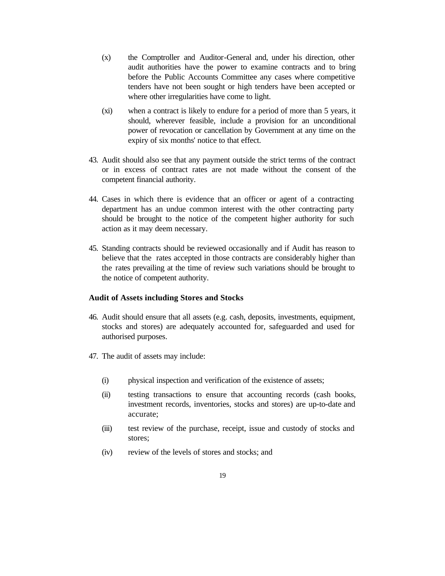- (x) the Comptroller and Auditor-General and, under his direction, other audit authorities have the power to examine contracts and to bring before the Public Accounts Committee any cases where competitive tenders have not been sought or high tenders have been accepted or where other irregularities have come to light.
- (xi) when a contract is likely to endure for a period of more than 5 years, it should, wherever feasible, include a provision for an unconditional power of revocation or cancellation by Government at any time on the expiry of six months' notice to that effect.
- 43. Audit should also see that any payment outside the strict terms of the contract or in excess of contract rates are not made without the consent of the competent financial authority.
- 44. Cases in which there is evidence that an officer or agent of a contracting department has an undue common interest with the other contracting party should be brought to the notice of the competent higher authority for such action as it may deem necessary.
- 45. Standing contracts should be reviewed occasionally and if Audit has reason to believe that the rates accepted in those contracts are considerably higher than the rates prevailing at the time of review such variations should be brought to the notice of competent authority.

#### **Audit of Assets including Stores and Stocks**

- 46. Audit should ensure that all assets (e.g. cash, deposits, investments, equipment, stocks and stores) are adequately accounted for, safeguarded and used for authorised purposes.
- 47. The audit of assets may include:
	- (i) physical inspection and verification of the existence of assets;
	- (ii) testing transactions to ensure that accounting records (cash books, investment records, inventories, stocks and stores) are up-to-date and accurate;
	- (iii) test review of the purchase, receipt, issue and custody of stocks and stores;
	- (iv) review of the levels of stores and stocks; and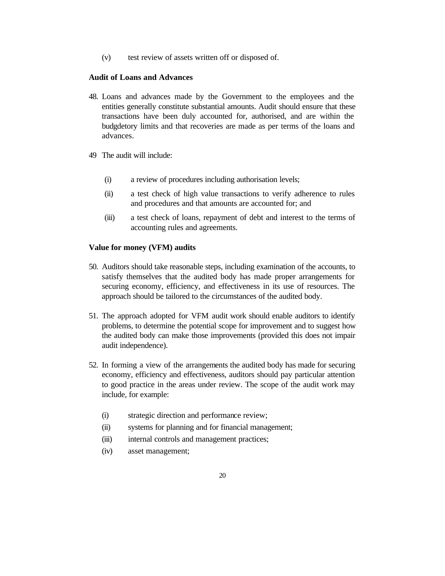(v) test review of assets written off or disposed of.

#### **Audit of Loans and Advances**

- 48. Loans and advances made by the Government to the employees and the entities generally constitute substantial amounts. Audit should ensure that these transactions have been duly accounted for, authorised, and are within the budgdetory limits and that recoveries are made as per terms of the loans and advances.
- 49 The audit will include:
	- (i) a review of procedures including authorisation levels;
	- (ii) a test check of high value transactions to verify adherence to rules and procedures and that amounts are accounted for; and
	- (iii) a test check of loans, repayment of debt and interest to the terms of accounting rules and agreements.

#### **Value for money (VFM) audits**

- 50. Auditors should take reasonable steps, including examination of the accounts, to satisfy themselves that the audited body has made proper arrangements for securing economy, efficiency, and effectiveness in its use of resources. The approach should be tailored to the circumstances of the audited body.
- 51. The approach adopted for VFM audit work should enable auditors to identify problems, to determine the potential scope for improvement and to suggest how the audited body can make those improvements (provided this does not impair audit independence).
- 52. In forming a view of the arrangements the audited body has made for securing economy, efficiency and effectiveness, auditors should pay particular attention to good practice in the areas under review. The scope of the audit work may include, for example:
	- (i) strategic direction and performance review;
	- (ii) systems for planning and for financial management;
	- (iii) internal controls and management practices;
	- (iv) asset management;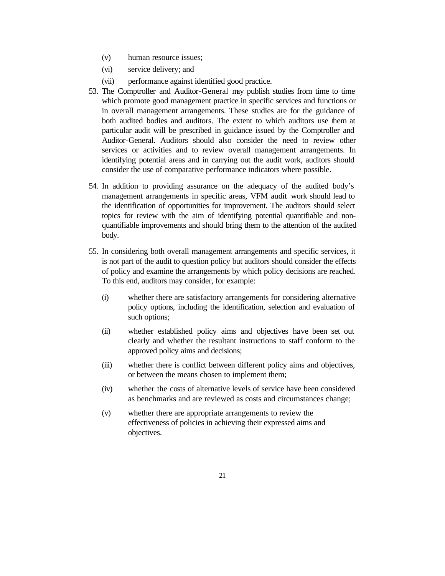- (v) human resource issues;
- (vi) service delivery; and
- (vii) performance against identified good practice.
- 53. The Comptroller and Auditor-General may publish studies from time to time which promote good management practice in specific services and functions or in overall management arrangements. These studies are for the guidance of both audited bodies and auditors. The extent to which auditors use them at particular audit will be prescribed in guidance issued by the Comptroller and Auditor-General. Auditors should also consider the need to review other services or activities and to review overall management arrangements. In identifying potential areas and in carrying out the audit work, auditors should consider the use of comparative performance indicators where possible.
- 54. In addition to providing assurance on the adequacy of the audited body's management arrangements in specific areas, VFM audit work should lead to the identification of opportunities for improvement. The auditors should select topics for review with the aim of identifying potential quantifiable and nonquantifiable improvements and should bring them to the attention of the audited body.
- 55. In considering both overall management arrangements and specific services, it is not part of the audit to question policy but auditors should consider the effects of policy and examine the arrangements by which policy decisions are reached. To this end, auditors may consider, for example:
	- (i) whether there are satisfactory arrangements for considering alternative policy options, including the identification, selection and evaluation of such options;
	- (ii) whether established policy aims and objectives have been set out clearly and whether the resultant instructions to staff conform to the approved policy aims and decisions;
	- (iii) whether there is conflict between different policy aims and objectives, or between the means chosen to implement them;
	- (iv) whether the costs of alternative levels of service have been considered as benchmarks and are reviewed as costs and circumstances change;
	- (v) whether there are appropriate arrangements to review the effectiveness of policies in achieving their expressed aims and objectives.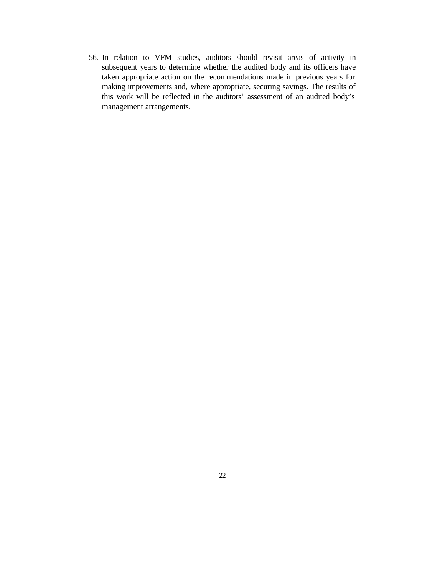56. In relation to VFM studies, auditors should revisit areas of activity in subsequent years to determine whether the audited body and its officers have taken appropriate action on the recommendations made in previous years for making improvements and, where appropriate, securing savings. The results of this work will be reflected in the auditors' assessment of an audited body's management arrangements.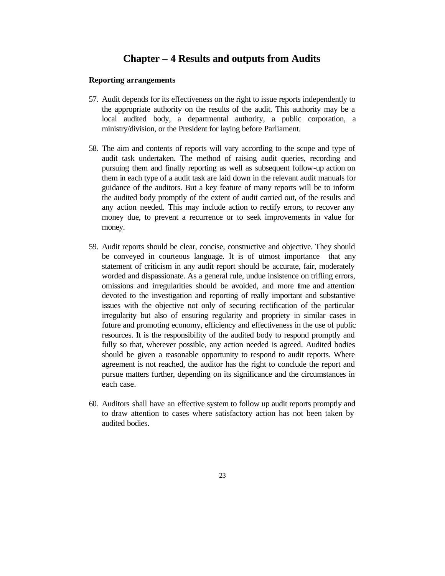## **Chapter – 4 Results and outputs from Audits**

#### **Reporting arrangements**

- 57. Audit depends for its effectiveness on the right to issue reports independently to the appropriate authority on the results of the audit. This authority may be a local audited body, a departmental authority, a public corporation, a ministry/division, or the President for laying before Parliament.
- 58. The aim and contents of reports will vary according to the scope and type of audit task undertaken. The method of raising audit queries, recording and pursuing them and finally reporting as well as subsequent follow-up action on them in each type of a audit task are laid down in the relevant audit manuals for guidance of the auditors. But a key feature of many reports will be to inform the audited body promptly of the extent of audit carried out, of the results and any action needed. This may include action to rectify errors, to recover any money due, to prevent a recurrence or to seek improvements in value for money.
- 59. Audit reports should be clear, concise, constructive and objective. They should be conveyed in courteous language. It is of utmost importance that any statement of criticism in any audit report should be accurate, fair, moderately worded and dispassionate. As a general rule, undue insistence on trifling errors, omissions and irregularities should be avoided, and more time and attention devoted to the investigation and reporting of really important and substantive issues with the objective not only of securing rectification of the particular irregularity but also of ensuring regularity and propriety in similar cases in future and promoting economy, efficiency and effectiveness in the use of public resources. It is the responsibility of the audited body to respond promptly and fully so that, wherever possible, any action needed is agreed. Audited bodies should be given a reasonable opportunity to respond to audit reports. Where agreement is not reached, the auditor has the right to conclude the report and pursue matters further, depending on its significance and the circumstances in each case.
- 60. Auditors shall have an effective system to follow up audit reports promptly and to draw attention to cases where satisfactory action has not been taken by audited bodies.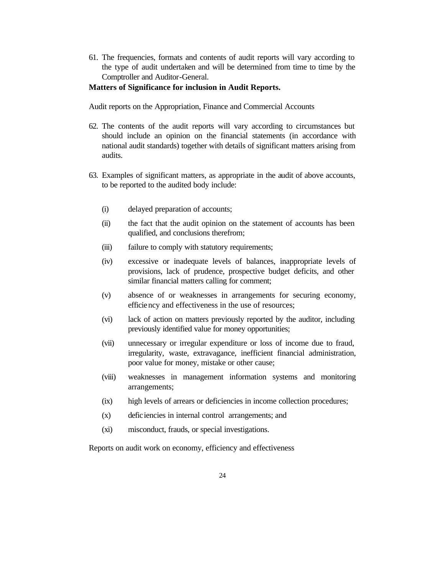61. The frequencies, formats and contents of audit reports will vary according to the type of audit undertaken and will be determined from time to time by the Comptroller and Auditor-General.

#### **Matters of Significance for inclusion in Audit Reports.**

Audit reports on the Appropriation, Finance and Commercial Accounts

- 62. The contents of the audit reports will vary according to circumstances but should include an opinion on the financial statements (in accordance with national audit standards) together with details of significant matters arising from audits.
- 63. Examples of significant matters, as appropriate in the audit of above accounts, to be reported to the audited body include:
	- (i) delayed preparation of accounts;
	- (ii) the fact that the audit opinion on the statement of accounts has been qualified, and conclusions therefrom;
	- (iii) failure to comply with statutory requirements;
	- (iv) excessive or inadequate levels of balances, inappropriate levels of provisions, lack of prudence, prospective budget deficits, and other similar financial matters calling for comment;
	- (v) absence of or weaknesses in arrangements for securing economy, efficiency and effectiveness in the use of resources;
	- (vi) lack of action on matters previously reported by the auditor, including previously identified value for money opportunities;
	- (vii) unnecessary or irregular expenditure or loss of income due to fraud, irregularity, waste, extravagance, inefficient financial administration, poor value for money, mistake or other cause;
	- (viii) weaknesses in management information systems and monitoring arrangements;
	- (ix) high levels of arrears or deficiencies in income collection procedures;
	- (x) deficiencies in internal control arrangements; and
	- (xi) misconduct, frauds, or special investigations.

Reports on audit work on economy, efficiency and effectiveness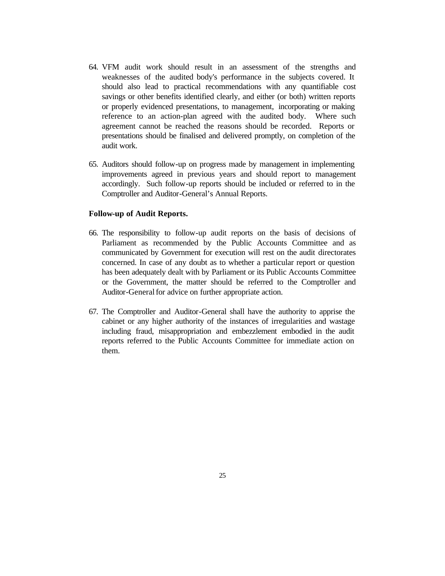- 64. VFM audit work should result in an assessment of the strengths and weaknesses of the audited body's performance in the subjects covered. It should also lead to practical recommendations with any quantifiable cost savings or other benefits identified clearly, and either (or both) written reports or properly evidenced presentations, to management, incorporating or making reference to an action-plan agreed with the audited body. Where such agreement cannot be reached the reasons should be recorded. Reports or presentations should be finalised and delivered promptly, on completion of the audit work.
- 65. Auditors should follow-up on progress made by management in implementing improvements agreed in previous years and should report to management accordingly. Such follow-up reports should be included or referred to in the Comptroller and Auditor-General's Annual Reports.

#### **Follow-up of Audit Reports.**

- 66. The responsibility to follow-up audit reports on the basis of decisions of Parliament as recommended by the Public Accounts Committee and as communicated by Government for execution will rest on the audit directorates concerned. In case of any doubt as to whether a particular report or question has been adequately dealt with by Parliament or its Public Accounts Committee or the Government, the matter should be referred to the Comptroller and Auditor-General for advice on further appropriate action.
- 67. The Comptroller and Auditor-General shall have the authority to apprise the cabinet or any higher authority of the instances of irregularities and wastage including fraud, misappropriation and embezzlement embodied in the audit reports referred to the Public Accounts Committee for immediate action on them.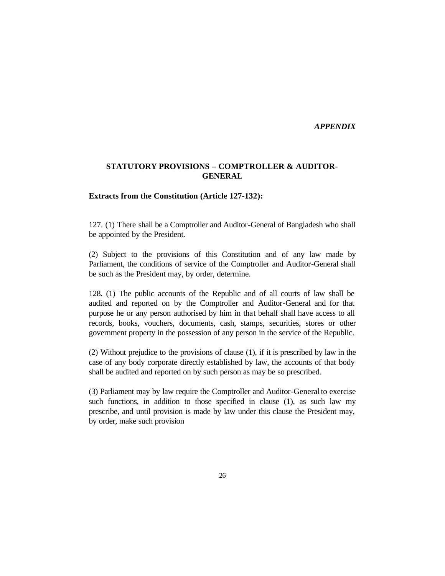*APPENDIX* 

#### **STATUTORY PROVISIONS – COMPTROLLER & AUDITOR-GENERAL**

#### **Extracts from the Constitution (Article 127-132):**

127. (1) There shall be a Comptroller and Auditor-General of Bangladesh who shall be appointed by the President.

(2) Subject to the provisions of this Constitution and of any law made by Parliament, the conditions of service of the Comptroller and Auditor-General shall be such as the President may, by order, determine.

128. (1) The public accounts of the Republic and of all courts of law shall be audited and reported on by the Comptroller and Auditor-General and for that purpose he or any person authorised by him in that behalf shall have access to all records, books, vouchers, documents, cash, stamps, securities, stores or other government property in the possession of any person in the service of the Republic.

(2) Without prejudice to the provisions of clause (1), if it is prescribed by law in the case of any body corporate directly established by law, the accounts of that body shall be audited and reported on by such person as may be so prescribed.

(3) Parliament may by law require the Comptroller and Auditor-General to exercise such functions, in addition to those specified in clause (1), as such law my prescribe, and until provision is made by law under this clause the President may, by order, make such provision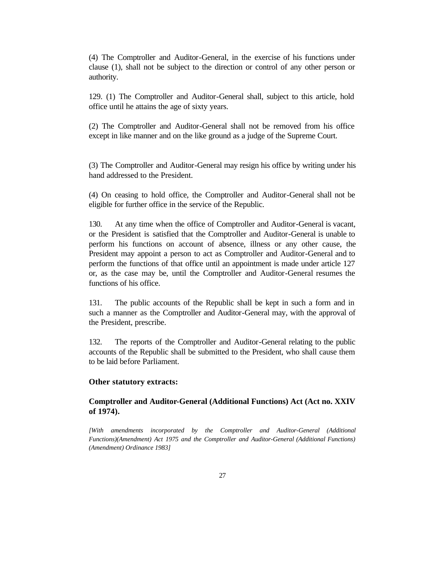(4) The Comptroller and Auditor-General, in the exercise of his functions under clause (1), shall not be subject to the direction or control of any other person or authority.

129. (1) The Comptroller and Auditor-General shall, subject to this article, hold office until he attains the age of sixty years.

(2) The Comptroller and Auditor-General shall not be removed from his office except in like manner and on the like ground as a judge of the Supreme Court.

(3) The Comptroller and Auditor-General may resign his office by writing under his hand addressed to the President.

(4) On ceasing to hold office, the Comptroller and Auditor-General shall not be eligible for further office in the service of the Republic.

130. At any time when the office of Comptroller and Auditor-General is vacant, or the President is satisfied that the Comptroller and Auditor-General is unable to perform his functions on account of absence, illness or any other cause, the President may appoint a person to act as Comptroller and Auditor-General and to perform the functions of that office until an appointment is made under article 127 or, as the case may be, until the Comptroller and Auditor-General resumes the functions of his office.

131. The public accounts of the Republic shall be kept in such a form and in such a manner as the Comptroller and Auditor-General may, with the approval of the President, prescribe.

132. The reports of the Comptroller and Auditor-General relating to the public accounts of the Republic shall be submitted to the President, who shall cause them to be laid before Parliament.

#### **Other statutory extracts:**

#### **Comptroller and Auditor-General (Additional Functions) Act (Act no. XXIV of 1974).**

*[With amendments incorporated by the Comptroller and Auditor-General (Additional Functions)(Amendment) Act 1975 and the Comptroller and Auditor-General (Additional Functions) (Amendment) Ordinance 1983]*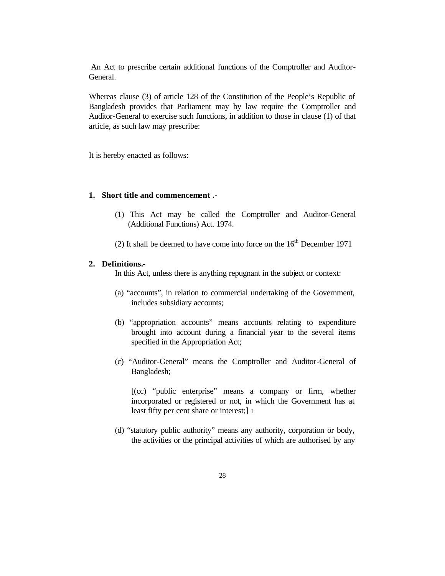An Act to prescribe certain additional functions of the Comptroller and Auditor-General.

Whereas clause (3) of article 128 of the Constitution of the People's Republic of Bangladesh provides that Parliament may by law require the Comptroller and Auditor-General to exercise such functions, in addition to those in clause (1) of that article, as such law may prescribe:

It is hereby enacted as follows:

## **1. Short title and commencement .-**

- (1) This Act may be called the Comptroller and Auditor-General (Additional Functions) Act. 1974.
- (2) It shall be deemed to have come into force on the  $16<sup>th</sup>$  December 1971

#### **2. Definitions.-**

In this Act, unless there is anything repugnant in the subject or context:

- (a) "accounts", in relation to commercial undertaking of the Government, includes subsidiary accounts;
- (b) "appropriation accounts" means accounts relating to expenditure brought into account during a financial year to the several items specified in the Appropriation Act;
- (c) "Auditor-General" means the Comptroller and Auditor-General of Bangladesh;

[(cc) "public enterprise" means a company or firm, whether incorporated or registered or not, in which the Government has at least fifty per cent share or interest;] 1

(d) "statutory public authority" means any authority, corporation or body, the activities or the principal activities of which are authorised by any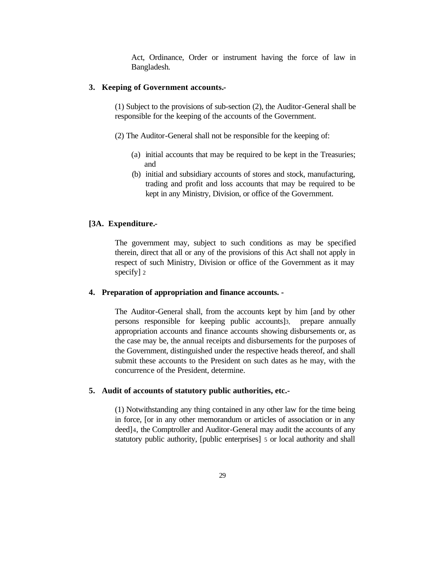Act, Ordinance, Order or instrument having the force of law in Bangladesh.

#### **3. Keeping of Government accounts.-**

(1) Subject to the provisions of sub-section (2), the Auditor-General shall be responsible for the keeping of the accounts of the Government.

(2) The Auditor-General shall not be responsible for the keeping of:

- (a) initial accounts that may be required to be kept in the Treasuries; and
- (b) initial and subsidiary accounts of stores and stock, manufacturing, trading and profit and loss accounts that may be required to be kept in any Ministry, Division, or office of the Government.

#### **[3A. Expenditure.-**

The government may, subject to such conditions as may be specified therein, direct that all or any of the provisions of this Act shall not apply in respect of such Ministry, Division or office of the Government as it may specify] 2

#### **4. Preparation of appropriation and finance accounts. -**

The Auditor-General shall, from the accounts kept by him [and by other persons responsible for keeping public accounts]3, prepare annually appropriation accounts and finance accounts showing disbursements or, as the case may be, the annual receipts and disbursements for the purposes of the Government, distinguished under the respective heads thereof, and shall submit these accounts to the President on such dates as he may, with the concurrence of the President, determine.

#### **5. Audit of accounts of statutory public authorities, etc.-**

(1) Notwithstanding any thing contained in any other law for the time being in force, [or in any other memorandum or articles of association or in any deed]4, the Comptroller and Auditor-General may audit the accounts of any statutory public authority, [public enterprises] 5 or local authority and shall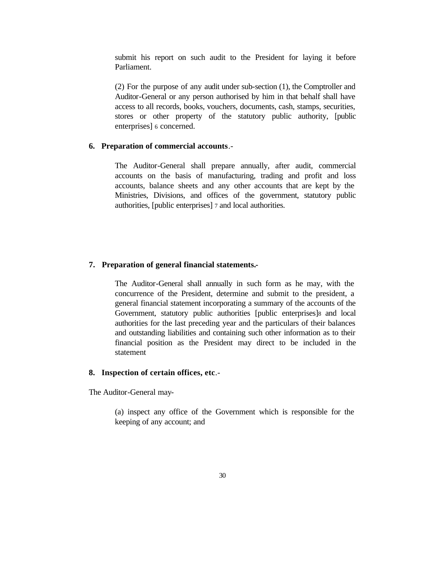submit his report on such audit to the President for laying it before Parliament.

(2) For the purpose of any audit under sub-section (1), the Comptroller and Auditor-General or any person authorised by him in that behalf shall have access to all records, books, vouchers, documents, cash, stamps, securities, stores or other property of the statutory public authority, [public enterprises] 6 concerned.

#### **6. Preparation of commercial accounts**.-

The Auditor-General shall prepare annually, after audit, commercial accounts on the basis of manufacturing, trading and profit and loss accounts, balance sheets and any other accounts that are kept by the Ministries, Divisions, and offices of the government, statutory public authorities, [public enterprises] 7 and local authorities.

#### **7. Preparation of general financial statements.-**

The Auditor-General shall annually in such form as he may, with the concurrence of the President, determine and submit to the president, a general financial statement incorporating a summary of the accounts of the Government, statutory public authorities [public enterprises]8 and local authorities for the last preceding year and the particulars of their balances and outstanding liabilities and containing such other information as to their financial position as the President may direct to be included in the statement

#### **8. Inspection of certain offices, etc**.-

The Auditor-General may-

(a) inspect any office of the Government which is responsible for the keeping of any account; and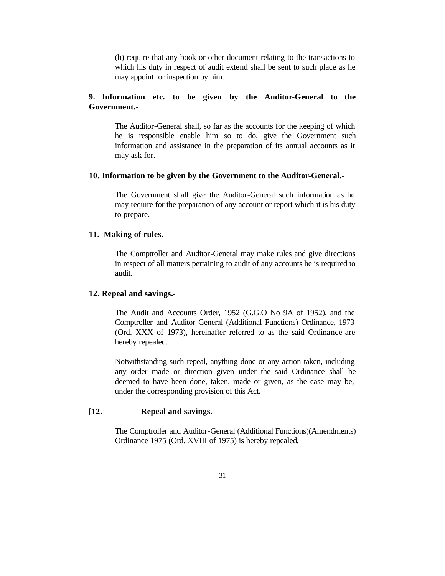(b) require that any book or other document relating to the transactions to which his duty in respect of audit extend shall be sent to such place as he may appoint for inspection by him.

#### **9. Information etc. to be given by the Auditor-General to the Government.-**

The Auditor-General shall, so far as the accounts for the keeping of which he is responsible enable him so to do, give the Government such information and assistance in the preparation of its annual accounts as it may ask for.

#### **10. Information to be given by the Government to the Auditor-General.-**

The Government shall give the Auditor-General such information as he may require for the preparation of any account or report which it is his duty to prepare.

#### **11. Making of rules.-**

The Comptroller and Auditor-General may make rules and give directions in respect of all matters pertaining to audit of any accounts he is required to audit.

#### **12. Repeal and savings.-**

The Audit and Accounts Order, 1952 (G.G.O No 9A of 1952), and the Comptroller and Auditor-General (Additional Functions) Ordinance, 1973 (Ord. XXX of 1973), hereinafter referred to as the said Ordinance are hereby repealed.

Notwithstanding such repeal, anything done or any action taken, including any order made or direction given under the said Ordinance shall be deemed to have been done, taken, made or given, as the case may be, under the corresponding provision of this Act.

#### [**12. Repeal and savings.-**

The Comptroller and Auditor-General (Additional Functions)(Amendments) Ordinance 1975 (Ord. XVIII of 1975) is hereby repealed.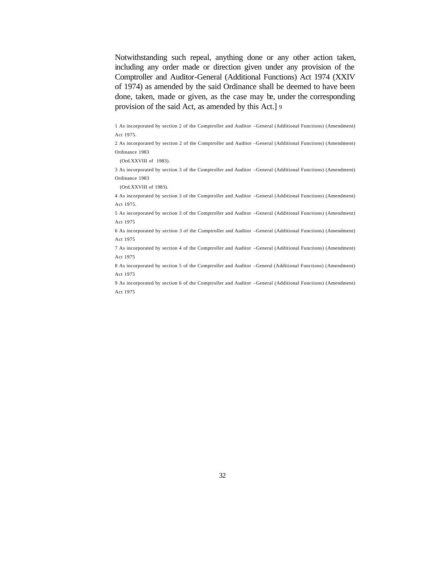Notwithstanding such repeal, anything done or any other action taken, including any order made or direction given under any provision of the Comptroller and Auditor-General (Additional Functions) Act 1974 (XXIV of 1974) as amended by the said Ordinance shall be deemed to have been done, taken, made or given, as the case may be, under the corresponding provision of the said Act, as amended by this Act.] 9

1 As incorporated by section 2 of the Comptroller and Auditor –General (Additional Functions) (Amendment) Act 1975.

2 As incorporated by section 2 of the Comptroller and Auditor –General (Additional Functions) (Amendment) Ordinance 1983

(Ord.XXVIII of 1983).

3 As incorporated by section 3 of the Comptroller and Auditor –General (Additional Functions) (Amendment) Ordinance 1983

(Ord.XXVIII of 1983).

4 As incorporated by section 3 of the Comptroller and Auditor –General (Additional Functions) (Amendment) Act 1975.

5 As incorporated by section 3 of the Comptroller and Auditor –General (Additional Functions) (Amendment) Act 1975

6 As incorporated by section 3 of the Comptroller and Auditor –General (Additional Functions) (Amendment) Act 1975

7 As incorporated by section 4 of the Comptroller and Auditor –General (Additional Functions) (Amendment) Act 1975

8 As incorporated by section 5 of the Comptroller and Auditor –General (Additional Functions) (Amendment) Act 1975

9 As incorporated by section 6 of the Comptroller and Auditor –General (Additional Functions) (Amendment) Act 1975